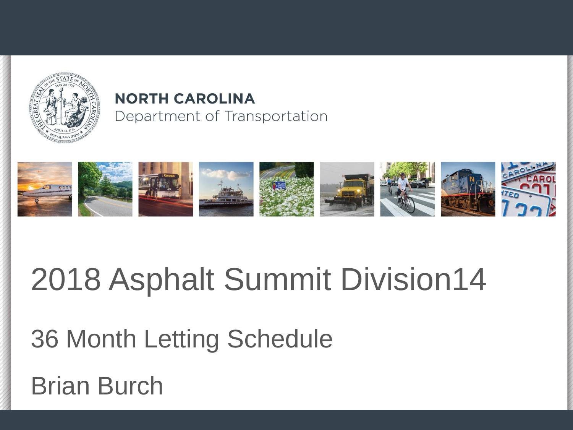

#### **NORTH CAROLINA** Department of Transportation



#### 2018 Asphalt Summit Division14

#### 36 Month Letting Schedule

#### Brian Burch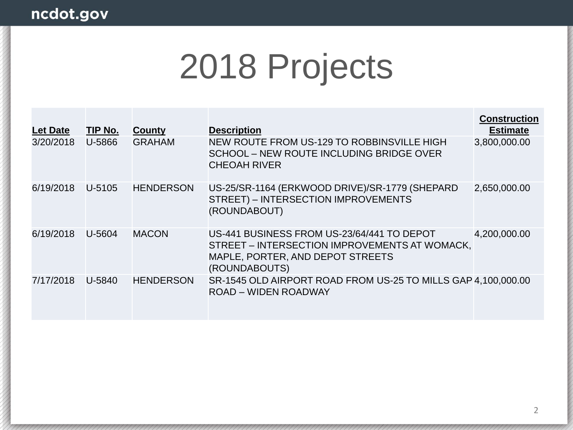| <b>Let Date</b> | TIP No. | County           | <b>Description</b>                                                                                                                               | <b>Construction</b><br><b>Estimate</b> |
|-----------------|---------|------------------|--------------------------------------------------------------------------------------------------------------------------------------------------|----------------------------------------|
| 3/20/2018       | U-5866  | <b>GRAHAM</b>    | NEW ROUTE FROM US-129 TO ROBBINSVILLE HIGH<br>SCHOOL - NEW ROUTE INCLUDING BRIDGE OVER<br><b>CHEOAH RIVER</b>                                    | 3,800,000.00                           |
| 6/19/2018       | U-5105  | <b>HENDERSON</b> | US-25/SR-1164 (ERKWOOD DRIVE)/SR-1779 (SHEPARD<br>STREET) - INTERSECTION IMPROVEMENTS<br>(ROUNDABOUT)                                            | 2,650,000.00                           |
| 6/19/2018       | U-5604  | <b>MACON</b>     | US-441 BUSINESS FROM US-23/64/441 TO DEPOT<br>STREET – INTERSECTION IMPROVEMENTS AT WOMACK,<br>MAPLE, PORTER, AND DEPOT STREETS<br>(ROUNDABOUTS) | 4,200,000.00                           |
| 7/17/2018       | U-5840  | <b>HENDERSON</b> | SR-1545 OLD AIRPORT ROAD FROM US-25 TO MILLS GAP 4,100,000.00<br>ROAD - WIDEN ROADWAY                                                            |                                        |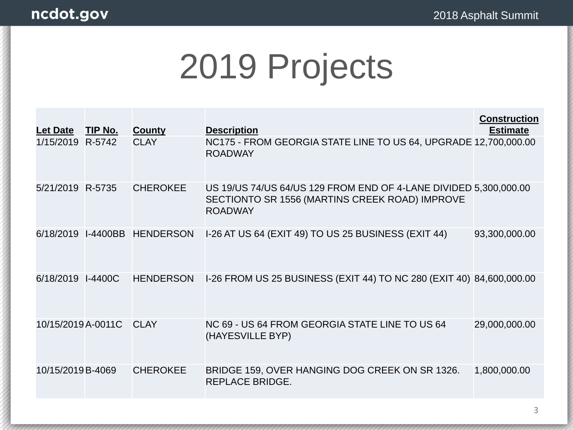| <b>Let Date</b>    | TIP No.         | <b>County</b>    | <b>Description</b>                                                                                                                   | <b>Construction</b><br><b>Estimate</b> |
|--------------------|-----------------|------------------|--------------------------------------------------------------------------------------------------------------------------------------|----------------------------------------|
| 1/15/2019 R-5742   |                 | <b>CLAY</b>      | NC175 - FROM GEORGIA STATE LINE TO US 64, UPGRADE 12,700,000.00<br><b>ROADWAY</b>                                                    |                                        |
| 5/21/2019 R-5735   |                 | <b>CHEROKEE</b>  | US 19/US 74/US 64/US 129 FROM END OF 4-LANE DIVIDED 5,300,000.00<br>SECTIONTO SR 1556 (MARTINS CREEK ROAD) IMPROVE<br><b>ROADWAY</b> |                                        |
| 6/18/2019          | <b>I-4400BB</b> | <b>HENDERSON</b> | I-26 AT US 64 (EXIT 49) TO US 25 BUSINESS (EXIT 44)                                                                                  | 93,300,000.00                          |
| 6/18/2019          | $I-4400C$       | <b>HENDERSON</b> | I-26 FROM US 25 BUSINESS (EXIT 44) TO NC 280 (EXIT 40) 84,600,000.00                                                                 |                                        |
| 10/15/2019 A-0011C |                 | <b>CLAY</b>      | NC 69 - US 64 FROM GEORGIA STATE LINE TO US 64<br>(HAYESVILLE BYP)                                                                   | 29,000,000.00                          |
| 10/15/2019 B-4069  |                 | <b>CHEROKEE</b>  | BRIDGE 159, OVER HANGING DOG CREEK ON SR 1326.<br>REPLACE BRIDGE.                                                                    | 1,800,000.00                           |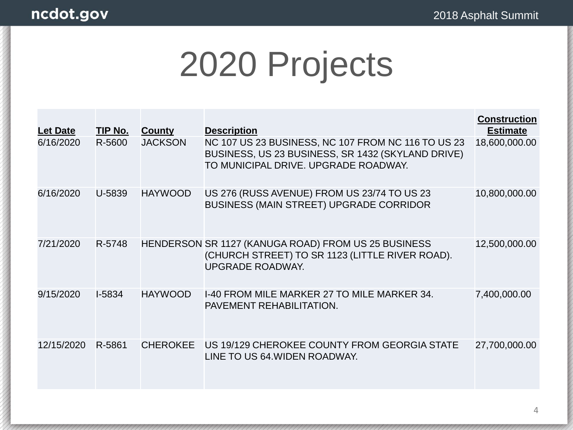| <b>Let Date</b> | TIP No.  | <b>County</b>   | <b>Description</b>                                                                                                                              | <b>Construction</b><br><b>Estimate</b> |
|-----------------|----------|-----------------|-------------------------------------------------------------------------------------------------------------------------------------------------|----------------------------------------|
| 6/16/2020       | R-5600   | <b>JACKSON</b>  | NC 107 US 23 BUSINESS, NC 107 FROM NC 116 TO US 23<br>BUSINESS, US 23 BUSINESS, SR 1432 (SKYLAND DRIVE)<br>TO MUNICIPAL DRIVE, UPGRADE ROADWAY. | 18,600,000.00                          |
| 6/16/2020       | U-5839   | <b>HAYWOOD</b>  | US 276 (RUSS AVENUE) FROM US 23/74 TO US 23<br><b>BUSINESS (MAIN STREET) UPGRADE CORRIDOR</b>                                                   | 10,800,000.00                          |
| 7/21/2020       | R-5748   |                 | HENDERSON SR 1127 (KANUGA ROAD) FROM US 25 BUSINESS<br>(CHURCH STREET) TO SR 1123 (LITTLE RIVER ROAD).<br><b>UPGRADE ROADWAY.</b>               | 12,500,000.00                          |
| 9/15/2020       | $I-5834$ | <b>HAYWOOD</b>  | 1-40 FROM MILE MARKER 27 TO MILE MARKER 34.<br>PAVEMENT REHABILITATION.                                                                         | 7,400,000.00                           |
| 12/15/2020      | R-5861   | <b>CHEROKEE</b> | US 19/129 CHEROKEE COUNTY FROM GEORGIA STATE<br>LINE TO US 64. WIDEN ROADWAY.                                                                   | 27,700,000.00                          |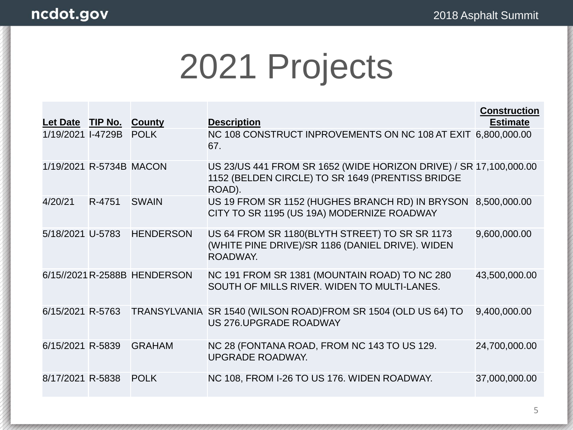|                         |        |                              |                                                                                                                                 | <b>Construction</b> |
|-------------------------|--------|------------------------------|---------------------------------------------------------------------------------------------------------------------------------|---------------------|
| Let Date TIP No.        |        | County                       | <b>Description</b>                                                                                                              | <b>Estimate</b>     |
| 1/19/2021 I-4729B       |        | <b>POLK</b>                  | NC 108 CONSTRUCT INPROVEMENTS ON NC 108 AT EXIT 6,800,000.00<br>67.                                                             |                     |
| 1/19/2021 R-5734B MACON |        |                              | US 23/US 441 FROM SR 1652 (WIDE HORIZON DRIVE) / SR 17,100,000.00<br>1152 (BELDEN CIRCLE) TO SR 1649 (PRENTISS BRIDGE<br>ROAD). |                     |
| 4/20/21                 | R-4751 | <b>SWAIN</b>                 | US 19 FROM SR 1152 (HUGHES BRANCH RD) IN BRYSON<br>CITY TO SR 1195 (US 19A) MODERNIZE ROADWAY                                   | 8,500,000.00        |
| 5/18/2021 U-5783        |        | <b>HENDERSON</b>             | US 64 FROM SR 1180 (BLYTH STREET) TO SR SR 1173<br>(WHITE PINE DRIVE)/SR 1186 (DANIEL DRIVE). WIDEN<br>ROADWAY.                 | 9,600,000.00        |
|                         |        | 6/15//2021 R-2588B HENDERSON | NC 191 FROM SR 1381 (MOUNTAIN ROAD) TO NC 280<br>SOUTH OF MILLS RIVER. WIDEN TO MULTI-LANES.                                    | 43,500,000.00       |
| 6/15/2021 R-5763        |        |                              | TRANSYLVANIA SR 1540 (WILSON ROAD)FROM SR 1504 (OLD US 64) TO<br>US 276. UPGRADE ROADWAY                                        | 9,400,000.00        |
| 6/15/2021 R-5839        |        | <b>GRAHAM</b>                | NC 28 (FONTANA ROAD, FROM NC 143 TO US 129.<br><b>UPGRADE ROADWAY.</b>                                                          | 24,700,000.00       |
| 8/17/2021 R-5838        |        | <b>POLK</b>                  | NC 108, FROM I-26 TO US 176. WIDEN ROADWAY.                                                                                     | 37,000,000.00       |